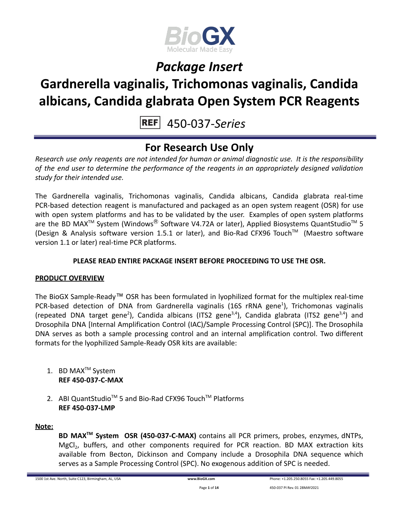

## **Gardnerella vaginalis, Trichomonas vaginalis, Candida albicans, Candida glabrata Open System PCR Reagents**

450-037-*Series*

### **For Research Use Only**

*Research use only reagents are not intended for human or animal diagnostic use. It is the responsibility of the end user to determine the performance of the reagents in an appropriately designed validation study for their intended use.*

The Gardnerella vaginalis, Trichomonas vaginalis, Candida albicans, Candida glabrata real-time PCR-based detection reagent is manufactured and packaged as an open system reagent (OSR) for use with open system platforms and has to be validated by the user. Examples of open system platforms are the BD MAX<sup>™</sup> System (Windows<sup>®</sup> Software V4.72A or later), Applied Biosystems QuantStudio<sup>™</sup> 5 (Design & Analysis software version 1.5.1 or later), and Bio-Rad CFX96 Touch™ (Maestro software version 1.1 or later) real-time PCR platforms.

### **PLEASE READ ENTIRE PACKAGE INSERT BEFORE PROCEEDING TO USE THE OSR.**

### **PRODUCT OVERVIEW**

The BioGX Sample-Ready™ OSR has been formulated in lyophilized format for the multiplex real-time PCR-based detection of DNA from Gardnerella vaginalis (16S rRNA gene<sup>1</sup>), Trichomonas vaginalis (repeated DNA target gene<sup>2</sup>), Candida albicans (ITS2 gene<sup>3,4</sup>), Candida glabrata (ITS2 gene<sup>3,4</sup>) and Drosophila DNA [Internal Amplification Control (IAC)/Sample Processing Control (SPC)]. The Drosophila DNA serves as both a sample processing control and an internal amplification control. Two different formats for the lyophilized Sample-Ready OSR kits are available:

- 1. BD MAX<sup>™</sup> System **REF 450-037-C-MAX**
- 2. ABI QuantStudio<sup>™</sup> 5 and Bio-Rad CFX96 Touch™ Platforms **REF 450-037-LMP**

#### **Note:**

**BD MAXTM System OSR (450-037-C-MAX)** contains all PCR primers, probes, enzymes, dNTPs, MgCl<sub>2</sub>, buffers, and other components required for PCR reaction. BD MAX extraction kits available from Becton, Dickinson and Company include a Drosophila DNA sequence which serves as a Sample Processing Control (SPC). No exogenous addition of SPC is needed.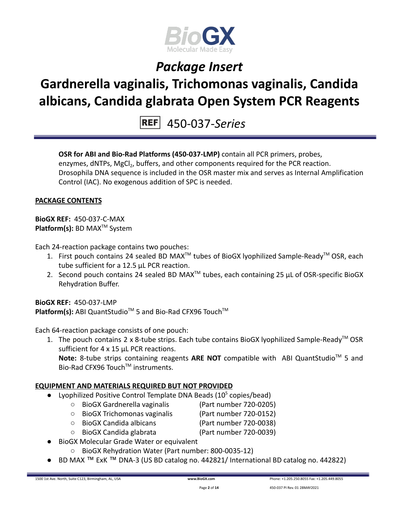

## **Gardnerella vaginalis, Trichomonas vaginalis, Candida albicans, Candida glabrata Open System PCR Reagents**

450-037-*Series*

**OSR for ABI and Bio-Rad Platforms (450-037-LMP)** contain all PCR primers, probes, enzymes, dNTPs, MgCl<sub>2</sub>, buffers, and other components required for the PCR reaction. Drosophila DNA sequence is included in the OSR master mix and serves as Internal Amplification Control (IAC). No exogenous addition of SPC is needed.

#### **PACKAGE CONTENTS**

**BioGX REF:** 450-037-C-MAX **Platform(s):** BD MAX<sup>™</sup> System

Each 24-reaction package contains two pouches:

- 1. First pouch contains 24 sealed BD MAX<sup>™</sup> tubes of BioGX lyophilized Sample-Ready<sup>™</sup> OSR, each tube sufficient for a 12.5 µL PCR reaction.
- 2. Second pouch contains 24 sealed BD MAX<sup>™</sup> tubes, each containing 25  $\mu$ L of OSR-specific BioGX Rehydration Buffer.

**BioGX RFF: 450-037-LMP** Platform(s): ABI QuantStudio<sup>™</sup> 5 and Bio-Rad CFX96 Touch<sup>™</sup>

Each 64-reaction package consists of one pouch:

1. The pouch contains 2 x 8-tube strips. Each tube contains BioGX lyophilized Sample-Ready<sup>™</sup> OSR sufficient for 4 x 15 µL PCR reactions.

Note: 8-tube strips containing reagents ARE NOT compatible with ABI QuantStudio<sup>™</sup> 5 and Bio-Rad CFX96 Touch™ instruments.

#### **EQUIPMENT AND MATERIALS REQUIRED BUT NOT PROVIDED**

- Lyophilized Positive Control Template DNA Beads  $(10^5 \text{ copies/head})$ 
	- BioGX Gardnerella vaginalis (Part number 720-0205)
	- BioGX Trichomonas vaginalis (Part number 720-0152)
	- BioGX Candida albicans (Part number 720-0038)
	- BioGX Candida glabrata (Part number 720-0039)
- **BioGX Molecular Grade Water or equivalent** 
	- BioGX Rehydration Water (Part number: 800-0035-12)
- BD MAX ™ ExK ™ DNA-3 (US BD catalog no. 442821/ International BD catalog no. 442822)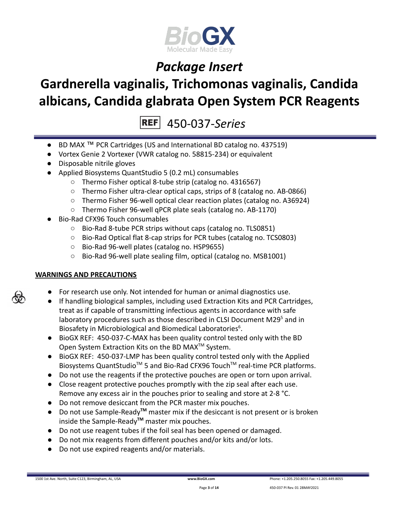

## **Gardnerella vaginalis, Trichomonas vaginalis, Candida albicans, Candida glabrata Open System PCR Reagents**

450-037-*Series*

- BD MAX ™ PCR Cartridges (US and International BD catalog no. 437519)
- Vortex Genie 2 Vortexer (VWR catalog no. 58815-234) or equivalent
- Disposable nitrile gloves
- Applied Biosystems QuantStudio 5 (0.2 mL) consumables
	- Thermo Fisher optical 8-tube strip (catalog no. 4316567)
	- Thermo Fisher ultra-clear optical caps, strips of 8 (catalog no. AB-0866)
	- Thermo Fisher 96-well optical clear reaction plates (catalog no. A36924)
	- Thermo Fisher 96-well qPCR plate seals (catalog no. AB-1170)
- Bio-Rad CFX96 Touch consumables
	- Bio-Rad 8-tube PCR strips without caps (catalog no. TLS0851)
	- Bio-Rad Optical flat 8-cap strips for PCR tubes (catalog no. TCS0803)
	- Bio-Rad 96-well plates (catalog no. HSP9655)
	- Bio-Rad 96-well plate sealing film, optical (catalog no. MSB1001)

### **WARNINGS AND PRECAUTIONS**

- For research use only. Not intended for human or animal diagnostics use.
- If handling biological samples, including used Extraction Kits and PCR Cartridges, treat as if capable of transmitting infectious agents in accordance with safe laboratory procedures such as those described in CLSI Document M29<sup>5</sup> and in Biosafety in Microbiological and Biomedical Laboratories<sup>6</sup>.
- BioGX REF: 450-037-C-MAX has been quality control tested only with the BD Open System Extraction Kits on the BD MAX<sup>™</sup> System.
- BioGX REF: 450-037-LMP has been quality control tested only with the Applied Biosystems QuantStudio<sup>™</sup> 5 and Bio-Rad CFX96 Touch<sup>™</sup> real-time PCR platforms.
- Do not use the reagents if the protective pouches are open or torn upon arrival.
- Close reagent protective pouches promptly with the zip seal after each use. Remove any excess air in the pouches prior to sealing and store at 2-8 °C.
- Do not remove desiccant from the PCR master mix pouches.
- Do not use Sample-Ready**TM** master mix if the desiccant is not present or is broken inside the Sample-Ready**TM** master mix pouches.
- Do not use reagent tubes if the foil seal has been opened or damaged.
- Do not mix reagents from different pouches and/or kits and/or lots.
- Do not use expired reagents and/or materials.

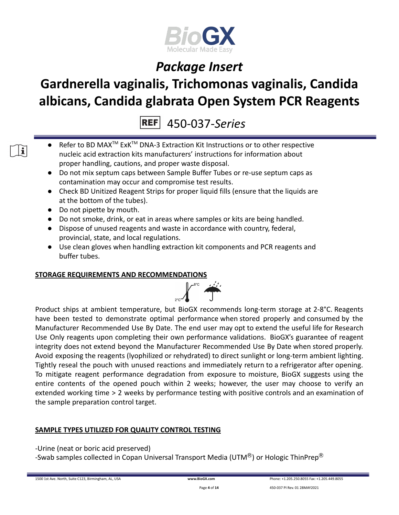

# **Gardnerella vaginalis, Trichomonas vaginalis, Candida albicans, Candida glabrata Open System PCR Reagents**

450-037-*Series*

- Refer to BD MAX<sup>™</sup> ExK<sup>™</sup> DNA-3 Extraction Kit Instructions or to other respective nucleic acid extraction kits manufacturers' instructions for information about proper handling, cautions, and proper waste disposal.
- Do not mix septum caps between Sample Buffer Tubes or re-use septum caps as contamination may occur and compromise test results.
- Check BD Unitized Reagent Strips for proper liquid fills (ensure that the liquids are at the bottom of the tubes).
- Do not pipette by mouth.

 $\mathbf{i}$ 

- Do not smoke, drink, or eat in areas where samples or kits are being handled.
- Dispose of unused reagents and waste in accordance with country, federal, provincial, state, and local regulations.
- Use clean gloves when handling extraction kit components and PCR reagents and buffer tubes.

### **STORAGE REQUIREMENTS AND RECOMMENDATIONS**



Product ships at ambient temperature, but BioGX recommends long-term storage at 2-8°C. Reagents have been tested to demonstrate optimal performance when stored properly and consumed by the Manufacturer Recommended Use By Date. The end user may opt to extend the useful life for Research Use Only reagents upon completing their own performance validations. BioGX's guarantee of reagent integrity does not extend beyond the Manufacturer Recommended Use By Date when stored properly. Avoid exposing the reagents (lyophilized or rehydrated) to direct sunlight or long-term ambient lighting. Tightly reseal the pouch with unused reactions and immediately return to a refrigerator after opening. To mitigate reagent performance degradation from exposure to moisture, BioGX suggests using the entire contents of the opened pouch within 2 weeks; however, the user may choose to verify an extended working time > 2 weeks by performance testing with positive controls and an examination of the sample preparation control target.

### **SAMPLE TYPES UTILIZED FOR QUALITY CONTROL TESTING**

-Urine (neat or boric acid preserved)

-Swab samples collected in Copan Universal Transport Media (UTM $^{\circledR}$ ) or Hologic ThinPrep $^{\circledR}$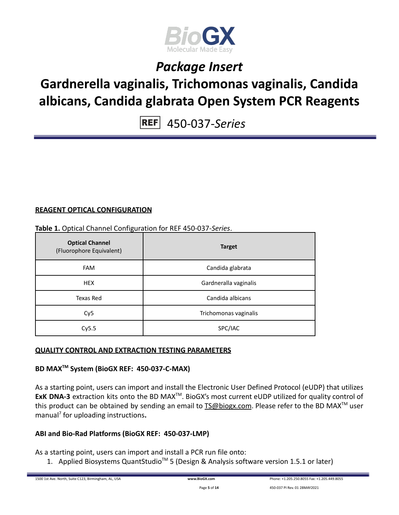

### **Gardnerella vaginalis, Trichomonas vaginalis, Candida albicans, Candida glabrata Open System PCR Reagents**

450-037-*Series*

### **REAGENT OPTICAL CONFIGURATION**

#### **Table 1.** Optical Channel Configuration for REF 450-037-*Series*.

| <b>Optical Channel</b><br>(Fluorophore Equivalent) | <b>Target</b>         |
|----------------------------------------------------|-----------------------|
| <b>FAM</b>                                         | Candida glabrata      |
| <b>HEX</b>                                         | Gardneralla vaginalis |
| Texas Red                                          | Candida albicans      |
| Cy <sub>5</sub>                                    | Trichomonas vaginalis |
| Cy5.5                                              | SPC/IAC               |

### **QUALITY CONTROL AND EXTRACTION TESTING PARAMETERS**

### **BD MAXTM System (BioGX REF: 450-037-C-MAX)**

As a starting point, users can import and install the Electronic User Defined Protocol (eUDP) that utilizes ExK DNA-3 extraction kits onto the BD MAX<sup>™</sup>. BioGX's most current eUDP utilized for quality control of this product can be obtained by sending an email to **[TS@biogx.com](mailto:TS@biogx.com)**. Please refer to the BD MAX<sup>™</sup> user manual<sup>7</sup> for uploading instructions**.**

### **ABI and Bio-Rad Platforms (BioGX REF: 450-037-LMP)**

As a starting point, users can import and install a PCR run file onto:

1. Applied Biosystems QuantStudio<sup>™</sup> 5 (Design & Analysis software version 1.5.1 or later)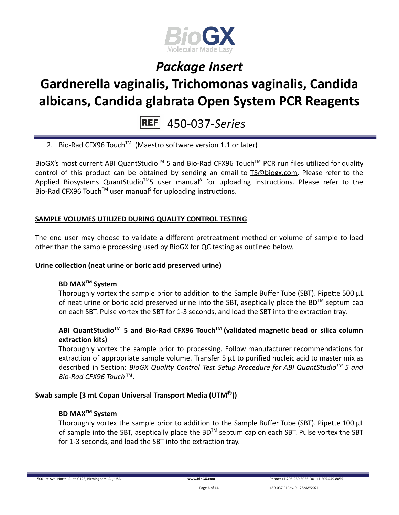

## **Gardnerella vaginalis, Trichomonas vaginalis, Candida albicans, Candida glabrata Open System PCR Reagents**

450-037-*Series*

2. Bio-Rad CFX96 Touch<sup>™</sup> (Maestro software version 1.1 or later)

BioGX's most current ABI QuantStudio<sup>™</sup> 5 and Bio-Rad CFX96 Touch<sup>™</sup> PCR run files utilized for quality control of this product can be obtained by sending an email to [TS@biogx.com.](mailto:TS@biogx.com) Please refer to the Applied Biosystems QuantStudio<sup>™</sup>5 user manual<sup>8</sup> for uploading instructions. Please refer to the Bio-Rad CFX96 Touch<sup>™</sup> user manual<sup>9</sup> for uploading instructions.

#### **SAMPLE VOLUMES UTILIZED DURING QUALITY CONTROL TESTING**

The end user may choose to validate a different pretreatment method or volume of sample to load other than the sample processing used by BioGX for QC testing as outlined below.

#### **Urine collection (neat urine or boric acid preserved urine)**

### **BD MAXTM System**

Thoroughly vortex the sample prior to addition to the Sample Buffer Tube (SBT). Pipette 500 μL of neat urine or boric acid preserved urine into the SBT, aseptically place the BD<sup>TM</sup> septum cap on each SBT. Pulse vortex the SBT for 1-3 seconds, and load the SBT into the extraction tray.

### **ABI QuantStudioTM 5 and Bio-Rad CFX96 TouchTM (validated magnetic bead or silica column extraction kits)**

Thoroughly vortex the sample prior to processing. Follow manufacturer recommendations for extraction of appropriate sample volume. Transfer 5 μL to purified nucleic acid to master mix as described in Section: *BioGX Quality Control Test Setup Procedure for ABI QuantStudioTM 5 and Bio-Rad CFX96 Touch™.*

#### **Swab sample (3 mL Copan Universal Transport Media (UTM**Ⓡ**))**

#### **BD MAXTM System**

Thoroughly vortex the sample prior to addition to the Sample Buffer Tube (SBT). Pipette 100 μL of sample into the SBT, aseptically place the BD<sup>TM</sup> septum cap on each SBT. Pulse vortex the SBT for 1-3 seconds, and load the SBT into the extraction tray.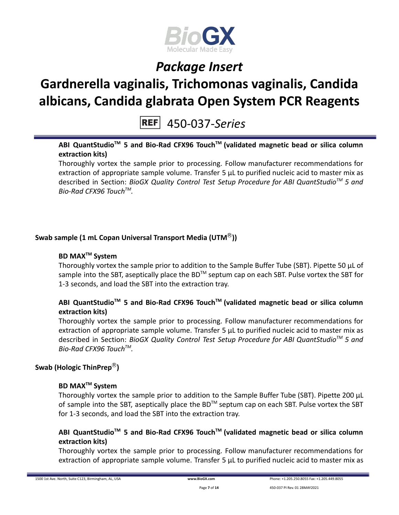

# **Gardnerella vaginalis, Trichomonas vaginalis, Candida albicans, Candida glabrata Open System PCR Reagents**

### 450-037-*Series*

### **ABI QuantStudioTM 5 and Bio-Rad CFX96 TouchTM (validated magnetic bead or silica column extraction kits)**

Thoroughly vortex the sample prior to processing. Follow manufacturer recommendations for extraction of appropriate sample volume. Transfer 5 μL to purified nucleic acid to master mix as described in Section: *BioGX Quality Control Test Setup Procedure for ABI QuantStudioTM 5 and Bio-Rad CFX96 TouchTM .*

### **Swab sample (1 mL Copan Universal Transport Media (UTM**Ⓡ**))**

### **BD MAXTM System**

Thoroughly vortex the sample prior to addition to the Sample Buffer Tube (SBT). Pipette 50 μL of sample into the SBT, aseptically place the BD<sup>™</sup> septum cap on each SBT. Pulse vortex the SBT for 1-3 seconds, and load the SBT into the extraction tray.

### **ABI QuantStudioTM 5 and Bio-Rad CFX96 TouchTM (validated magnetic bead or silica column extraction kits)**

Thoroughly vortex the sample prior to processing. Follow manufacturer recommendations for extraction of appropriate sample volume. Transfer 5 μL to purified nucleic acid to master mix as described in Section: *BioGX Quality Control Test Setup Procedure for ABI QuantStudioTM 5 and Bio-Rad CFX96 TouchTM .*

### **Swab (Hologic ThinPrep**Ⓡ**)**

### **BD MAXTM System**

Thoroughly vortex the sample prior to addition to the Sample Buffer Tube (SBT). Pipette 200 μL of sample into the SBT, aseptically place the BD<sup>TM</sup> septum cap on each SBT. Pulse vortex the SBT for 1-3 seconds, and load the SBT into the extraction tray.

### **ABI QuantStudioTM 5 and Bio-Rad CFX96 TouchTM (validated magnetic bead or silica column extraction kits)**

Thoroughly vortex the sample prior to processing. Follow manufacturer recommendations for extraction of appropriate sample volume. Transfer 5 μL to purified nucleic acid to master mix as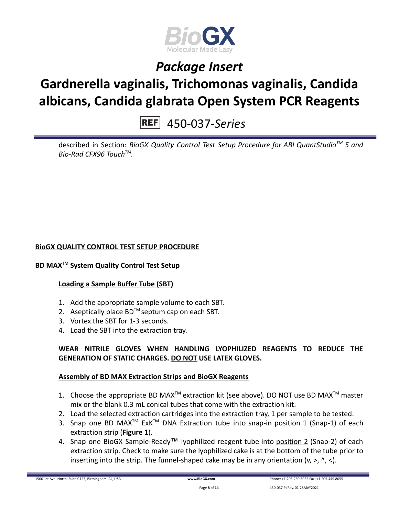

## **Gardnerella vaginalis, Trichomonas vaginalis, Candida albicans, Candida glabrata Open System PCR Reagents**

450-037-*Series*

described in Section: *BioGX Quality Control Test Setup Procedure for ABI QuantStudioTM 5 and Bio-Rad CFX96 TouchTM .*

### **BioGX QUALITY CONTROL TEST SETUP PROCEDURE**

### **BD MAXTM System Quality Control Test Setup**

#### **Loading a Sample Buffer Tube (SBT)**

- 1. Add the appropriate sample volume to each SBT.
- 2. Aseptically place  $BD^{TM}$  septum cap on each SBT.
- 3. Vortex the SBT for 1-3 seconds.
- 4. Load the SBT into the extraction tray.

### **WEAR NITRILE GLOVES WHEN HANDLING LYOPHILIZED REAGENTS TO REDUCE THE GENERATION OF STATIC CHARGES. DO NOT USE LATEX GLOVES.**

#### **Assembly of BD MAX Extraction Strips and BioGX Reagents**

- 1. Choose the appropriate BD MAX<sup>TM</sup> extraction kit (see above). DO NOT use BD MAX<sup>TM</sup> master mix or the blank 0.3 mL conical tubes that come with the extraction kit.
- 2. Load the selected extraction cartridges into the extraction tray, 1 per sample to be tested.
- 3. Snap one BD MAX<sup>™</sup> ExK<sup>™</sup> DNA Extraction tube into snap-in position 1 (Snap-1) of each extraction strip (**Figure 1**).
- 4. Snap one BioGX Sample-Ready™ lyophilized reagent tube into position 2 (Snap-2) of each extraction strip. Check to make sure the lyophilized cake is at the bottom of the tube prior to inserting into the strip. The funnel-shaped cake may be in any orientation  $(v, >, ' , <)$ .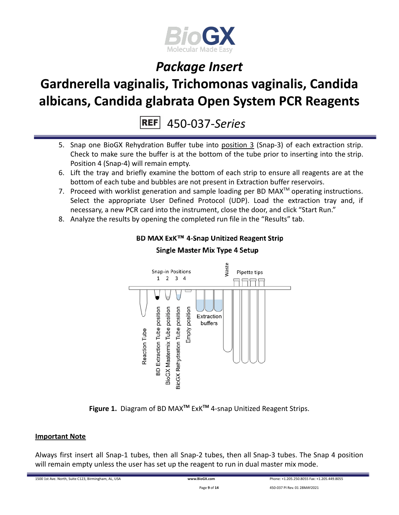

# **Gardnerella vaginalis, Trichomonas vaginalis, Candida albicans, Candida glabrata Open System PCR Reagents**

**REF** 450-037-*Series*

- 5. Snap one BioGX Rehydration Buffer tube into position 3 (Snap-3) of each extraction strip. Check to make sure the buffer is at the bottom of the tube prior to inserting into the strip. Position 4 (Snap-4) will remain empty.
- 6. Lift the tray and briefly examine the bottom of each strip to ensure all reagents are at the bottom of each tube and bubbles are not present in Extraction buffer reservoirs.
- 7. Proceed with worklist generation and sample loading per BD MAX $^{TM}$  operating instructions. Select the appropriate User Defined Protocol (UDP). Load the extraction tray and, if necessary, a new PCR card into the instrument, close the door, and click "Start Run."
- 8. Analyze the results by opening the completed run file in the "Results" tab.



### BD MAX ExK™ 4-Snap Unitized Reagent Strip **Single Master Mix Type 4 Setup**

**Figure 1.** Diagram of BD MAX**TM** ExK**TM** 4-snap Unitized Reagent Strips.

### **Important Note**

Always first insert all Snap-1 tubes, then all Snap-2 tubes, then all Snap-3 tubes. The Snap 4 position will remain empty unless the user has set up the reagent to run in dual master mix mode.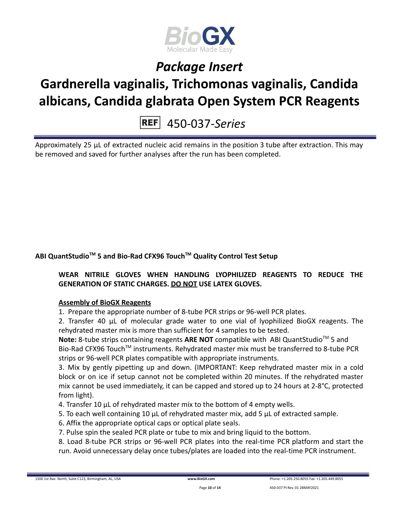

# **Gardnerella vaginalis, Trichomonas vaginalis, Candida albicans, Candida glabrata Open System PCR Reagents**

### 450-037-*Series*

Approximately 25 µL of extracted nucleic acid remains in the position 3 tube after extraction. This may be removed and saved for further analyses after the run has been completed.

### **ABI QuantStudioTM 5 and Bio-Rad CFX96 TouchTM Quality Control Test Setup**

### **WEAR NITRILE GLOVES WHEN HANDLING LYOPHILIZED REAGENTS TO REDUCE THE GENERATION OF STATIC CHARGES. DO NOT USE LATEX GLOVES.**

### **Assembly of BioGX Reagents**

1. Prepare the appropriate number of 8-tube PCR strips or 96-well PCR plates.

2. Transfer 40 μL of molecular grade water to one vial of lyophilized BioGX reagents. The rehydrated master mix is more than sufficient for 4 samples to be tested.

Note: 8-tube strips containing reagents ARE NOT compatible with ABI QuantStudio<sup>™</sup> 5 and Bio-Rad CFX96 Touch<sup>™</sup> instruments. Rehydrated master mix must be transferred to 8-tube PCR strips or 96-well PCR plates compatible with appropriate instruments.

3. Mix by gently pipetting up and down. (IMPORTANT: Keep rehydrated master mix in a cold block or on ice if setup cannot not be completed within 20 minutes. If the rehydrated master mix cannot be used immediately, it can be capped and stored up to 24 hours at 2-8°C, protected from light).

- 4. Transfer 10 μL of rehydrated master mix to the bottom of 4 empty wells.
- 5. To each well containing 10 μL of rehydrated master mix, add 5 μL of extracted sample.
- 6. Affix the appropriate optical caps or optical plate seals.
- 7. Pulse spin the sealed PCR plate or tube to mix and bring liquid to the bottom.

8. Load 8-tube PCR strips or 96-well PCR plates into the real-time PCR platform and start the run. Avoid unnecessary delay once tubes/plates are loaded into the real-time PCR instrument.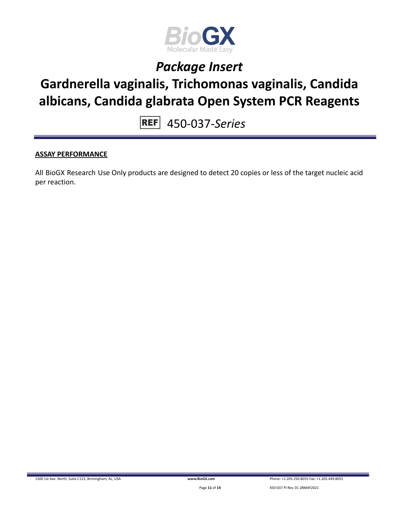

### **Gardnerella vaginalis, Trichomonas vaginalis, Candida albicans, Candida glabrata Open System PCR Reagents**

450-037-*Series*

### **ASSAY PERFORMANCE**

All BioGX Research Use Only products are designed to detect 20 copies or less of the target nucleic acid per reaction.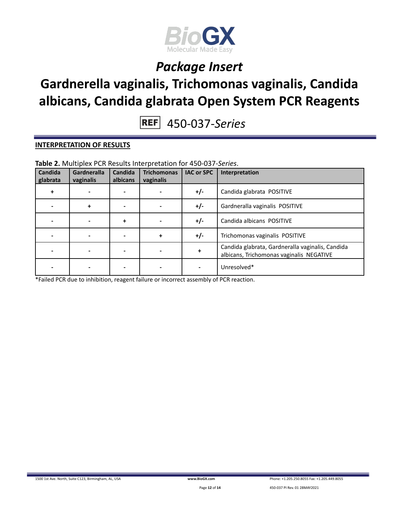

## **Gardnerella vaginalis, Trichomonas vaginalis, Candida albicans, Candida glabrata Open System PCR Reagents**

450-037-*Series*

#### **INTERPRETATION OF RESULTS**

| Candida<br>glabrata | Gardneralla<br>vaginalis | Candida<br>albicans | <b>Trichomonas</b><br>vaginalis | <b>IAC or SPC</b> | Interpretation                                                                               |
|---------------------|--------------------------|---------------------|---------------------------------|-------------------|----------------------------------------------------------------------------------------------|
|                     |                          |                     |                                 | $+/-$             | Candida glabrata POSITIVE                                                                    |
|                     | +                        |                     |                                 | $+/-$             | Gardneralla vaginalis POSITIVE                                                               |
|                     |                          | +                   |                                 | $+/-$             | Candida albicans POSITIVE                                                                    |
|                     |                          |                     | $\ddot{}$                       | $+/-$             | Trichomonas vaginalis POSITIVE                                                               |
|                     |                          |                     |                                 | +                 | Candida glabrata, Gardneralla vaginalis, Candida<br>albicans, Trichomonas vaginalis NEGATIVE |
|                     |                          |                     |                                 |                   | Unresolved*                                                                                  |

**Table 2.** Multiplex PCR Results Interpretation for 450-037-*Series*.

\*Failed PCR due to inhibition, reagent failure or incorrect assembly of PCR reaction.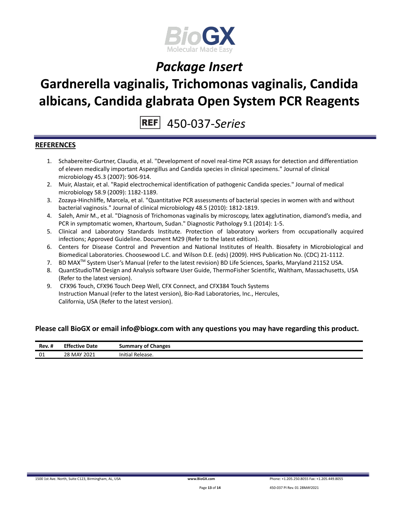

### **Gardnerella vaginalis, Trichomonas vaginalis, Candida albicans, Candida glabrata Open System PCR Reagents**

450-037-*Series*

#### **REFERENCES**

- 1. Schabereiter-Gurtner, Claudia, et al. "Development of novel real-time PCR assays for detection and differentiation of eleven medically important Aspergillus and Candida species in clinical specimens." Journal of clinical microbiology 45.3 (2007): 906-914.
- 2. Muir, Alastair, et al. "Rapid electrochemical identification of pathogenic Candida species." Journal of medical microbiology 58.9 (2009): 1182-1189.
- 3. Zozaya-Hinchliffe, Marcela, et al. "Quantitative PCR assessments of bacterial species in women with and without bacterial vaginosis." Journal of clinical microbiology 48.5 (2010): 1812-1819.
- 4. Saleh, Amir M., et al. "Diagnosis of Trichomonas vaginalis by microscopy, latex agglutination, diamond's media, and PCR in symptomatic women, Khartoum, Sudan." Diagnostic Pathology 9.1 (2014): 1-5.
- 5. Clinical and Laboratory Standards Institute. Protection of laboratory workers from occupationally acquired infections; Approved Guideline. Document M29 (Refer to the latest edition).
- 6. Centers for Disease Control and Prevention and National Institutes of Health. Biosafety in Microbiological and Biomedical Laboratories. Choosewood L.C. and Wilson D.E. (eds) (2009). HHS Publication No. (CDC) 21-1112.
- 7. BD MAX<sup>™</sup> System User's Manual (refer to the latest revision) BD Life Sciences, Sparks, Maryland 21152 USA.
- 8. QuantStudioTM Design and Analysis software User Guide, ThermoFisher Scientific, Waltham, Massachusetts, USA (Refer to the latest version).
- 9. CFX96 Touch, CFX96 Touch Deep Well, CFX Connect, and CFX384 Touch Systems Instruction Manual (refer to the latest version), Bio-Rad Laboratories, Inc., Hercules, California, USA (Refer to the latest version).

#### **Please call BioGX or email info@biogx.com with any questions you may have regarding this product.**

| <br>Rev. #<br>____ | <b>Effective</b><br>Date | <b>Summary of Changes</b>       |
|--------------------|--------------------------|---------------------------------|
| 01                 | 28 MAY 2021              | $\cdots$<br>Release.<br>initial |